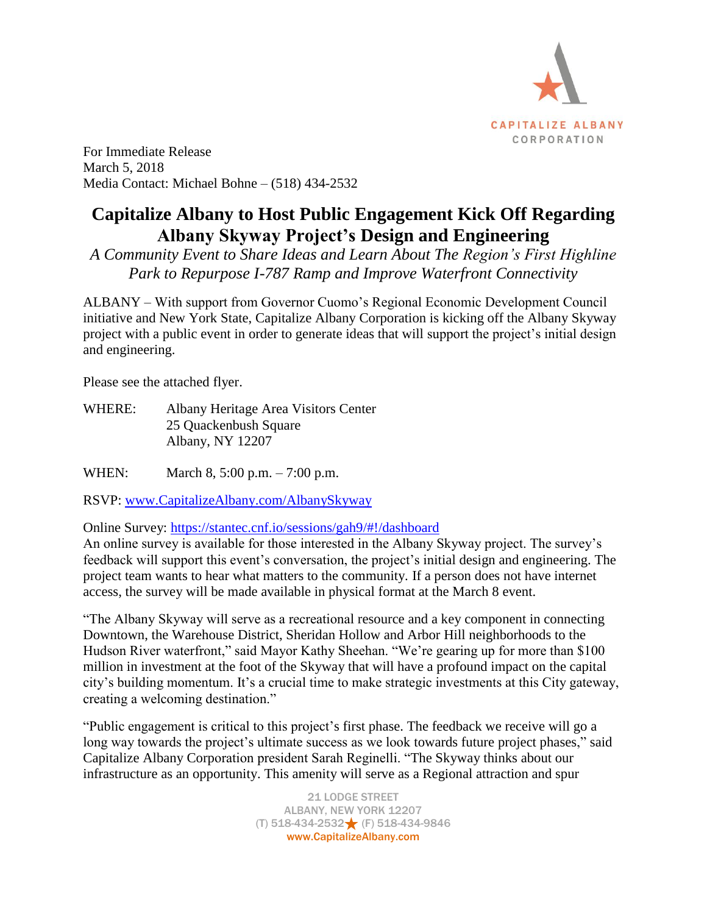

For Immediate Release March 5, 2018 Media Contact: Michael Bohne – (518) 434-2532

## **Capitalize Albany to Host Public Engagement Kick Off Regarding Albany Skyway Project's Design and Engineering**

*A Community Event to Share Ideas and Learn About The Region's First Highline Park to Repurpose I-787 Ramp and Improve Waterfront Connectivity*

ALBANY – With support from Governor Cuomo's Regional Economic Development Council initiative and New York State, Capitalize Albany Corporation is kicking off the Albany Skyway project with a public event in order to generate ideas that will support the project's initial design and engineering.

Please see the attached flyer.

WHERE: Albany Heritage Area Visitors Center 25 Quackenbush Square Albany, NY 12207

WHEN: March 8, 5:00 p.m. – 7:00 p.m.

RSVP: [www.CapitalizeAlbany.com/AlbanySkyway](http://www.capitalizealbany.com/AlbanySkyway)

Online Survey:<https://stantec.cnf.io/sessions/gah9/#!/dashboard>

An online survey is available for those interested in the Albany Skyway project. The survey's feedback will support this event's conversation, the project's initial design and engineering. The project team wants to hear what matters to the community. If a person does not have internet access, the survey will be made available in physical format at the March 8 event.

"The Albany Skyway will serve as a recreational resource and a key component in connecting Downtown, the Warehouse District, Sheridan Hollow and Arbor Hill neighborhoods to the Hudson River waterfront," said Mayor Kathy Sheehan. "We're gearing up for more than \$100 million in investment at the foot of the Skyway that will have a profound impact on the capital city's building momentum. It's a crucial time to make strategic investments at this City gateway, creating a welcoming destination."

"Public engagement is critical to this project's first phase. The feedback we receive will go a long way towards the project's ultimate success as we look towards future project phases," said Capitalize Albany Corporation president Sarah Reginelli. "The Skyway thinks about our infrastructure as an opportunity. This amenity will serve as a Regional attraction and spur

> 21 LODGE STREET ALBANY, NEW YORK 12207 (T) 518-434-2532 (F) 518-434-9846 www.CapitalizeAlbany.com